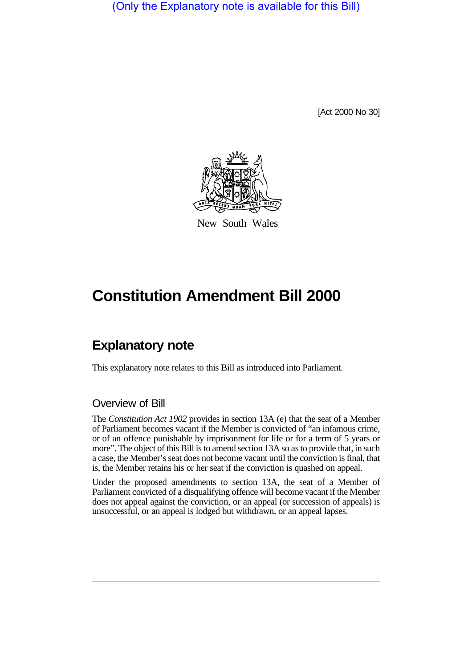(Only the Explanatory note is available for this Bill)

[Act 2000 No 30]



New South Wales

## **Constitution Amendment Bill 2000**

## **Explanatory note**

This explanatory note relates to this Bill as introduced into Parliament.

## Overview of Bill

The *Constitution Act 1902* provides in section 13A (e) that the seat of a Member of Parliament becomes vacant if the Member is convicted of "an infamous crime, or of an offence punishable by imprisonment for life or for a term of 5 years or more". The object of this Bill is to amend section 13A so as to provide that, in such a case, the Member's seat does not become vacant until the conviction is final, that is, the Member retains his or her seat if the conviction is quashed on appeal.

Under the proposed amendments to section 13A, the seat of a Member of Parliament convicted of a disqualifying offence will become vacant if the Member does not appeal against the conviction, or an appeal (or succession of appeals) is unsuccessful, or an appeal is lodged but withdrawn, or an appeal lapses.